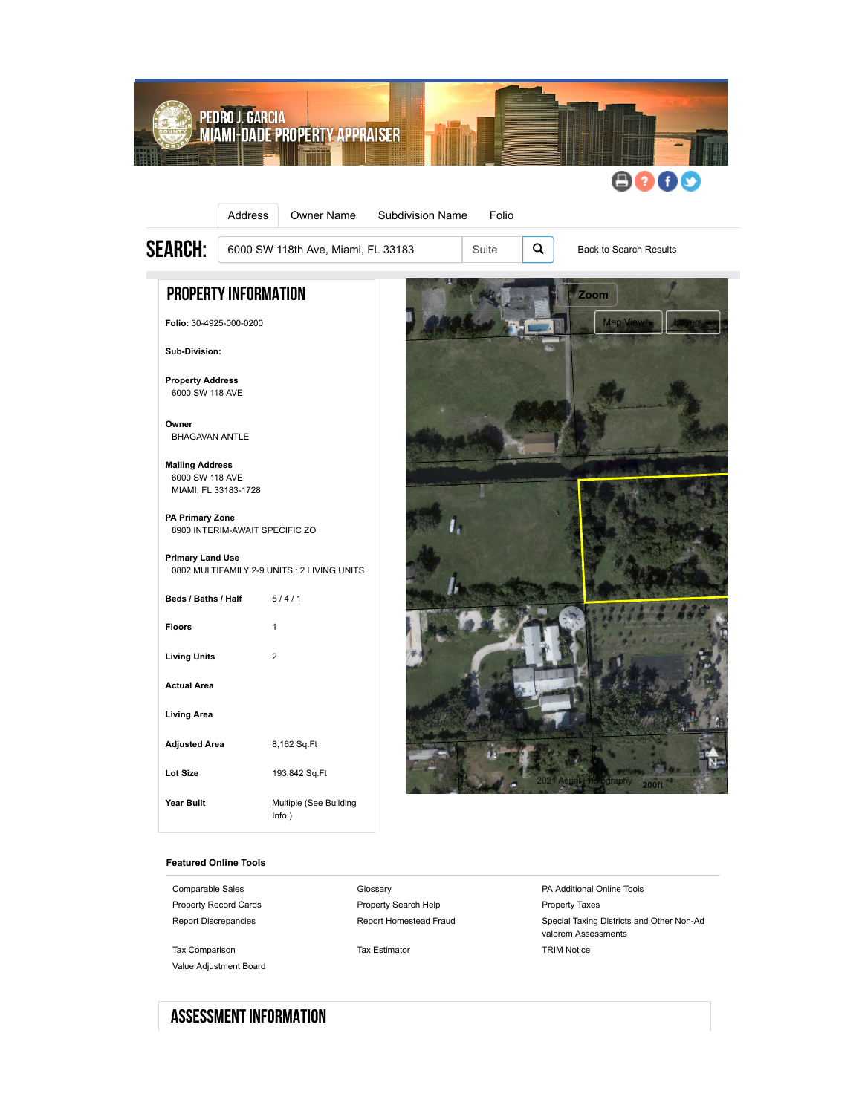

#### **Featured Online Tools**

[Comparable Sales](https://www.miamidade.gov/Apps/PA/ComparableSales/#/?folio=3049250000200) **Comparable Sales** [Glossary](http://www.miamidade.gov/pa/glossary.asp) **Comparable Sales** [PA Additional Online Tools](http://www.miamidade.gov/pa/online_tools.asp) [Property Record Cards](http://www.miamidade.gov/Apps/PA/PAOnlineTools/PRC/CreatePRCmain.aspx?folio=3049250000200) **[Property Search Help](http://www.miamidade.gov/pa/property-search-help.asp)** [Property Taxes](https://miamidade.county-taxes.com/public/real_estate/parcels/3049250000200) [Tax Comparison](http://www.miamidade.gov/Apps/PA/PAOnlineTools/Taxes/TaxComparison.aspx?folio=3049250000200) [Tax Estimator](http://www.miamidade.gov/Apps/PA/PAOnlineTools/Taxes/TaxEstimator.aspx) Tax Estimator [TRIM Notice](http://www.miamidade.gov/Apps/PA/PAOnlineTools/trimpdf/MakeTrim.aspx?FolSrch=3049250000200) [Value Adjustment Board](https://www2.miami-dadeclerk.com/vab/vabsearch.aspx)

[Report Discrepancies](http://www.miamidade.gov/Apps/PA/PAOnlineTools/ContactForm/ContactFormMain.aspx) **[Report Homestead Fraud](http://www.miamidade.gov/Apps/PA/PAOnlineTools/HomesteadFraud/HomesteadFraud.aspx)** [Special Taxing Districts and Other Non-Ad](http://www.miamidade.gov/Apps/PA/PAOnlineTools/Taxes/NonAdvalorem.aspx?folio=3049250000200) valorem Assessments

# Assessment Information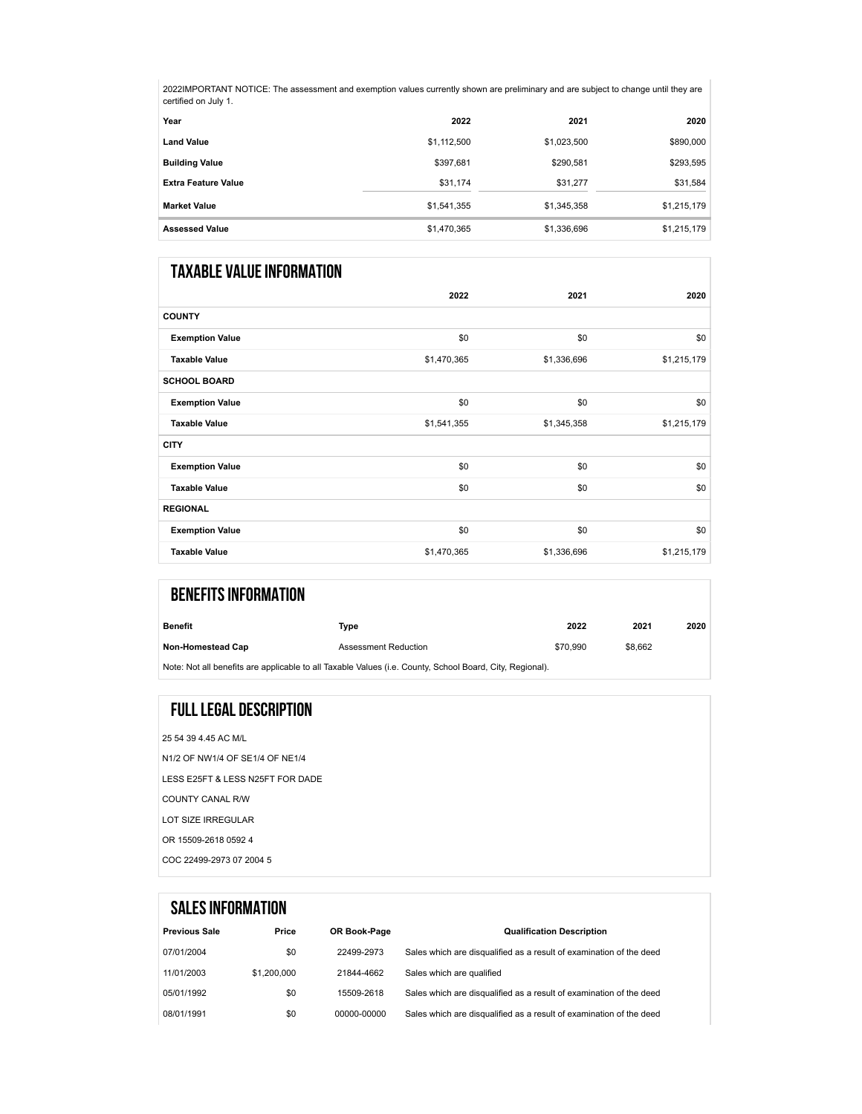2022IMPORTANT NOTICE: The assessment and exemption values currently shown are preliminary and are subject to change until they are certified on July 1.

| Year                       | 2022        | 2021        | 2020        |
|----------------------------|-------------|-------------|-------------|
| <b>Land Value</b>          | \$1,112,500 | \$1,023,500 | \$890,000   |
| <b>Building Value</b>      | \$397,681   | \$290,581   | \$293,595   |
| <b>Extra Feature Value</b> | \$31,174    | \$31,277    | \$31,584    |
| <b>Market Value</b>        | \$1,541,355 | \$1,345,358 | \$1,215,179 |
| <b>Assessed Value</b>      | \$1,470,365 | \$1,336,696 | \$1,215,179 |

## Taxable Value Information

|                        | 2022        | 2021        | 2020        |
|------------------------|-------------|-------------|-------------|
| <b>COUNTY</b>          |             |             |             |
| <b>Exemption Value</b> | \$0         | \$0         | \$0         |
| <b>Taxable Value</b>   | \$1,470,365 | \$1,336,696 | \$1,215,179 |
| <b>SCHOOL BOARD</b>    |             |             |             |
| <b>Exemption Value</b> | \$0         | \$0         | \$0         |
| <b>Taxable Value</b>   | \$1,541,355 | \$1,345,358 | \$1,215,179 |
| <b>CITY</b>            |             |             |             |
| <b>Exemption Value</b> | \$0         | \$0         | \$0         |
| <b>Taxable Value</b>   | \$0         | \$0         | \$0         |
| <b>REGIONAL</b>        |             |             |             |
| <b>Exemption Value</b> | \$0         | \$0         | \$0         |
| <b>Taxable Value</b>   | \$1,470,365 | \$1,336,696 | \$1,215,179 |

| <b>BENEFITS INFORMATION</b> |                                                                                                          |          |         |      |
|-----------------------------|----------------------------------------------------------------------------------------------------------|----------|---------|------|
| Benefit                     | Type                                                                                                     | 2022     | 2021    | 2020 |
| <b>Non-Homestead Cap</b>    | <b>Assessment Reduction</b>                                                                              | \$70,990 | \$8.662 |      |
|                             | Note: Not all benefits are applicable to all Taxable Values (i.e. County, School Board, City, Regional). |          |         |      |

## Full Legal Description

25 54 39 4.45 AC M/L N1/2 OF NW1/4 OF SE1/4 OF NE1/4 LESS E25FT & LESS N25FT FOR DADE COUNTY CANAL R/W LOT SIZE IRREGULAR OR 15509-2618 0592 4

COC 22499-2973 07 2004 5

|                      | <b>SALES INFORMATION</b> |              |                                                                     |
|----------------------|--------------------------|--------------|---------------------------------------------------------------------|
| <b>Previous Sale</b> | Price                    | OR Book-Page | <b>Qualification Description</b>                                    |
| 07/01/2004           | \$0                      | 22499-2973   | Sales which are disqualified as a result of examination of the deed |
| 11/01/2003           | \$1,200,000              | 21844-4662   | Sales which are qualified                                           |
| 05/01/1992           | \$0                      | 15509-2618   | Sales which are disqualified as a result of examination of the deed |
| 08/01/1991           | \$0                      | 00000-00000  | Sales which are disqualified as a result of examination of the deed |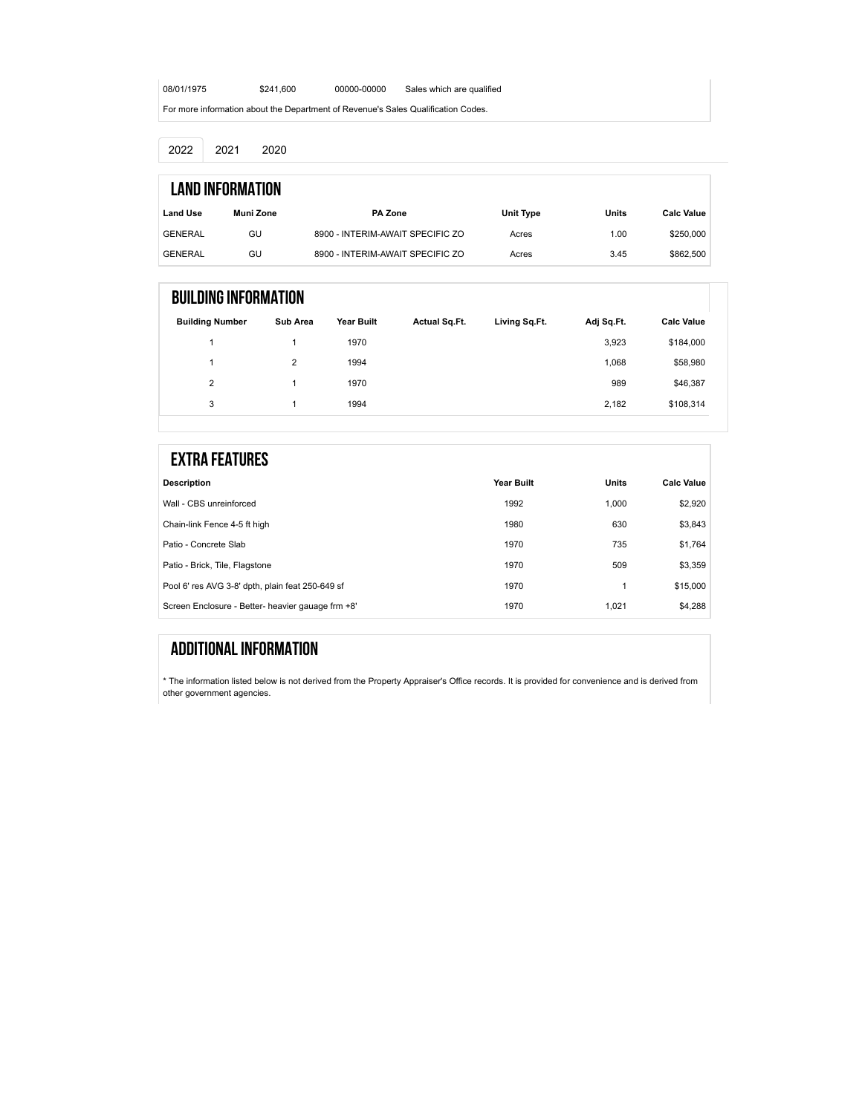08/01/1975 \$241,600 [00000-00000](https://onlineservices.miami-dadeclerk.com/OfficialRecords/StandardSearch.aspx?QS=lHVlhHQhIZoJRUYKiXnhi5K4tIoWMEvtv6VVIagHT4VuiXI3%2bEEWcQ%3d%3d) Sales which are qualified

For more information about the [Department of Revenue's Sales Qualification Codes](https://floridarevenue.com/property/Documents/salequalcodes_aft01012021.pdf).

2022 2021 2020

|                 | Land Information |                                  |           |       |                   |
|-----------------|------------------|----------------------------------|-----------|-------|-------------------|
| <b>Land Use</b> | Muni Zone        | <b>PA Zone</b>                   | Unit Type | Units | <b>Calc Value</b> |
| <b>GENERAL</b>  | GU               | 8900 - INTERIM-AWAIT SPECIFIC ZO | Acres     | 1.00  | \$250,000         |
| GENERAL         | GU               | 8900 - INTERIM-AWAIT SPECIFIC ZO | Acres     | 3.45  | \$862,500         |

### Building Information

| <b>Building Number</b> | Sub Area | Year Built | <b>Actual Sq.Ft.</b> | Living Sq.Ft. | Adj Sq.Ft. | <b>Calc Value</b> |
|------------------------|----------|------------|----------------------|---------------|------------|-------------------|
|                        |          | 1970       |                      |               | 3,923      | \$184,000         |
| 4                      | 2        | 1994       |                      |               | 1,068      | \$58,980          |
| $\overline{2}$         |          | 1970       |                      |               | 989        | \$46,387          |
| 3                      |          | 1994       |                      |               | 2,182      | \$108,314         |

| <b>EXTRA FEATURES</b>                             |            |              |                   |
|---------------------------------------------------|------------|--------------|-------------------|
| <b>Description</b>                                | Year Built | <b>Units</b> | <b>Calc Value</b> |
| Wall - CBS unreinforced                           | 1992       | 1.000        | \$2.920           |
| Chain-link Fence 4-5 ft high                      | 1980       | 630          | \$3.843           |
| Patio - Concrete Slab                             | 1970       | 735          | \$1.764           |
| Patio - Brick, Tile, Flagstone                    | 1970       | 509          | \$3.359           |
| Pool 6' res AVG 3-8' dpth, plain feat 250-649 sf  | 1970       |              | \$15,000          |
| Screen Enclosure - Better- heavier gauage frm +8' | 1970       | 1.021        | \$4.288           |

## Additional Information

\* The information listed below is not derived from the Property Appraiser's Office records. It is provided for convenience and is derived from other government agencies.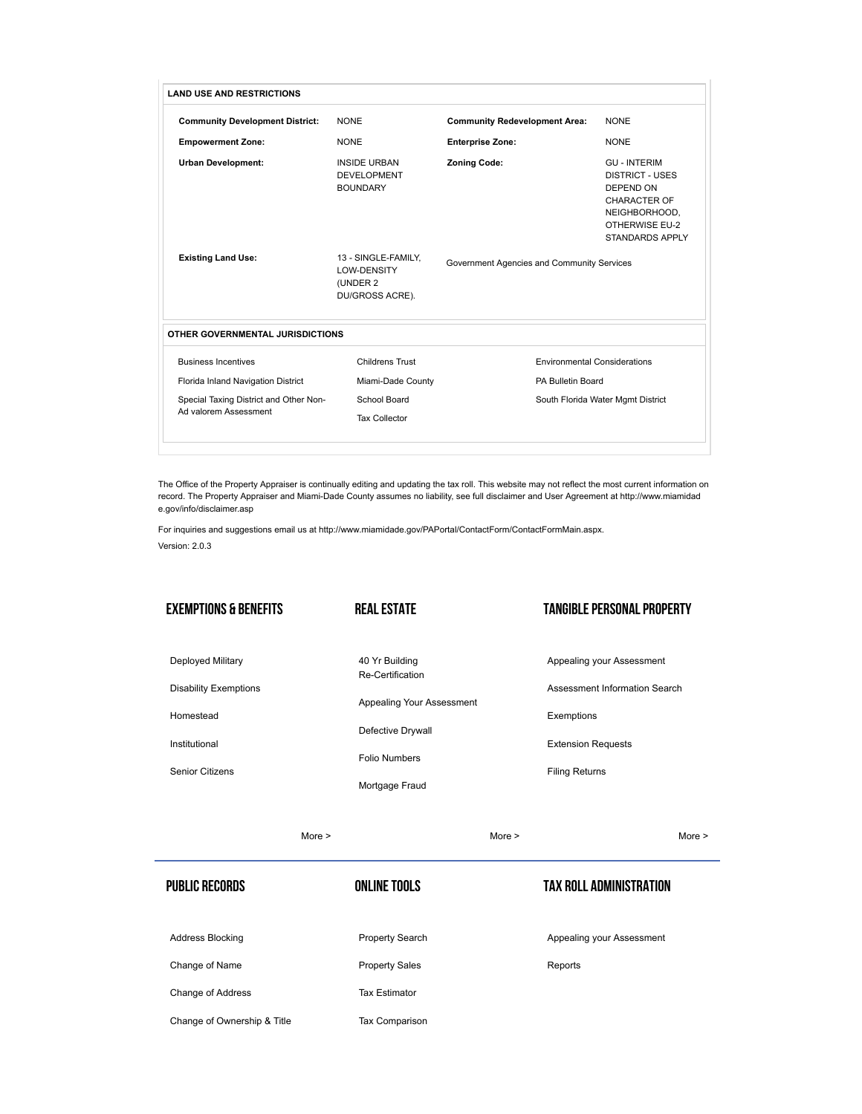| <b>LAND USE AND RESTRICTIONS</b>                                |                                                                   |                                            |                                                                                                                                                |
|-----------------------------------------------------------------|-------------------------------------------------------------------|--------------------------------------------|------------------------------------------------------------------------------------------------------------------------------------------------|
| <b>Community Development District:</b>                          | <b>NONE</b>                                                       | <b>Community Redevelopment Area:</b>       | <b>NONE</b>                                                                                                                                    |
| <b>Empowerment Zone:</b>                                        | <b>NONE</b>                                                       | <b>Enterprise Zone:</b>                    | <b>NONE</b>                                                                                                                                    |
| <b>Urban Development:</b>                                       | <b>INSIDE URBAN</b><br><b>DEVELOPMENT</b><br><b>BOUNDARY</b>      | <b>Zoning Code:</b>                        | <b>GU - INTERIM</b><br><b>DISTRICT - USES</b><br><b>DEPEND ON</b><br>CHARACTER OF<br>NEIGHBORHOOD,<br><b>OTHERWISE EU-2</b><br>STANDARDS APPLY |
| <b>Existing Land Use:</b>                                       | 13 - SINGLE-FAMILY.<br>LOW-DENSITY<br>(UNDER 2<br>DU/GROSS ACRE). | Government Agencies and Community Services |                                                                                                                                                |
| OTHER GOVERNMENTAL JURISDICTIONS                                |                                                                   |                                            |                                                                                                                                                |
| <b>Business Incentives</b>                                      | Childrens Trust                                                   | <b>Environmental Considerations</b>        |                                                                                                                                                |
| Florida Inland Navigation District                              | Miami-Dade County                                                 | PA Bulletin Board                          |                                                                                                                                                |
| Special Taxing District and Other Non-<br>Ad valorem Assessment | School Board                                                      |                                            | South Florida Water Mgmt District                                                                                                              |
|                                                                 |                                                                   |                                            |                                                                                                                                                |

The Office of the Property Appraiser is continually editing and updating the tax roll. This website may not reflect the most current information on [record. The Property Appraiser and Miami-Dade County assumes no liability, see full disclaimer and User Agreement at http://www.miamidad](http://www.miamidade.gov/info/disclaimer.asp) e.gov/info/disclaimer.asp

For inquiries and suggestions email us at <http://www.miamidade.gov/PAPortal/ContactForm/ContactFormMain.aspx>. Version: 2.0.3

Exemptions & Benefits

[Deployed Military](http://www.miamidade.gov/pa/exemptions_military.asp)

[Homestead](http://www.miamidade.gov/pa/exemptions_homestead.asp) [Institutional](http://www.miamidade.gov/pa/exemptions_institutional.asp)

[Senior Citizens](http://www.miamidade.gov/pa/exemptions_homestead_senior.asp)

[Disability Exemptions](http://www.miamidade.gov/pa/exemptions_disabilities.asp)

#### Real Estate

40 Yr Building [Re-Certification](http://www.miamidade.gov/pa/property_recertification.asp)

[Defective Drywall](http://www.miamidade.gov/pa/news_drywall.asp) [Folio Numbers](http://www.miamidade.gov/pa/property_folio_numbers.asp)

[Mortgage Fraud](http://www.miamidade.gov/pa/mortgage-fraud.asp)

[Appealing Your Assessment](http://www.miamidade.gov/pa/appealing_assessment.asp)

#### Tangible Personal Property

[Appealing your Assessment](http://www.miamidade.gov/pa/appealing_assessment.asp)

[Assessment Information Search](http://www.miamidade.gov/pa/business_lookup.asp#/)

[Exemptions](http://www.miamidade.gov/pa/exemptions_tangible.asp)

[Extension Requests](http://www.miamidade.gov/pa/property_tangible_extension.asp)

[Filing Returns](http://www.miamidade.gov/pa/exemptions_tangible_filing.asp)

[More >](http://www.miamidade.gov/pa/exemptions.asp)

[More >](http://www.miamidade.gov/pa/real_estate.asp)

[More >](http://www.miamidade.gov/pa/property_tangible.asp)

#### Online Tools

[Address Blocking](http://www.miamidade.gov/pa/public_records_address_block.asp)

Public Records

[Property Search](http://www.miamidade.gov/pa/property_search.asp)

[Change of Name](http://www.miamidade.gov/pa/public_records_name_change.asp)

[Change of Address](http://www.miamidade.gov/pa/address_change.asp)

[Change of Ownership & Title](http://www.miamidade.gov/pa/public_records_ownership.asp)

[Property Sales](http://www.miamidade.gov/pa/property_sales.asp)

[Tax Estimator](http://www.miamidade.gov/PAPortal/Taxes/TaxEstimator.aspx)

[Tax Comparison](http://www.miamidade.gov/PAPortal/Taxes/TaxComparison.aspx)

Tax Roll Administration

[Appealing your Assessment](http://www.miamidade.gov/pa/appealing_assessment.asp)

[Reports](http://www.miamidade.gov/pa/reports.asp)